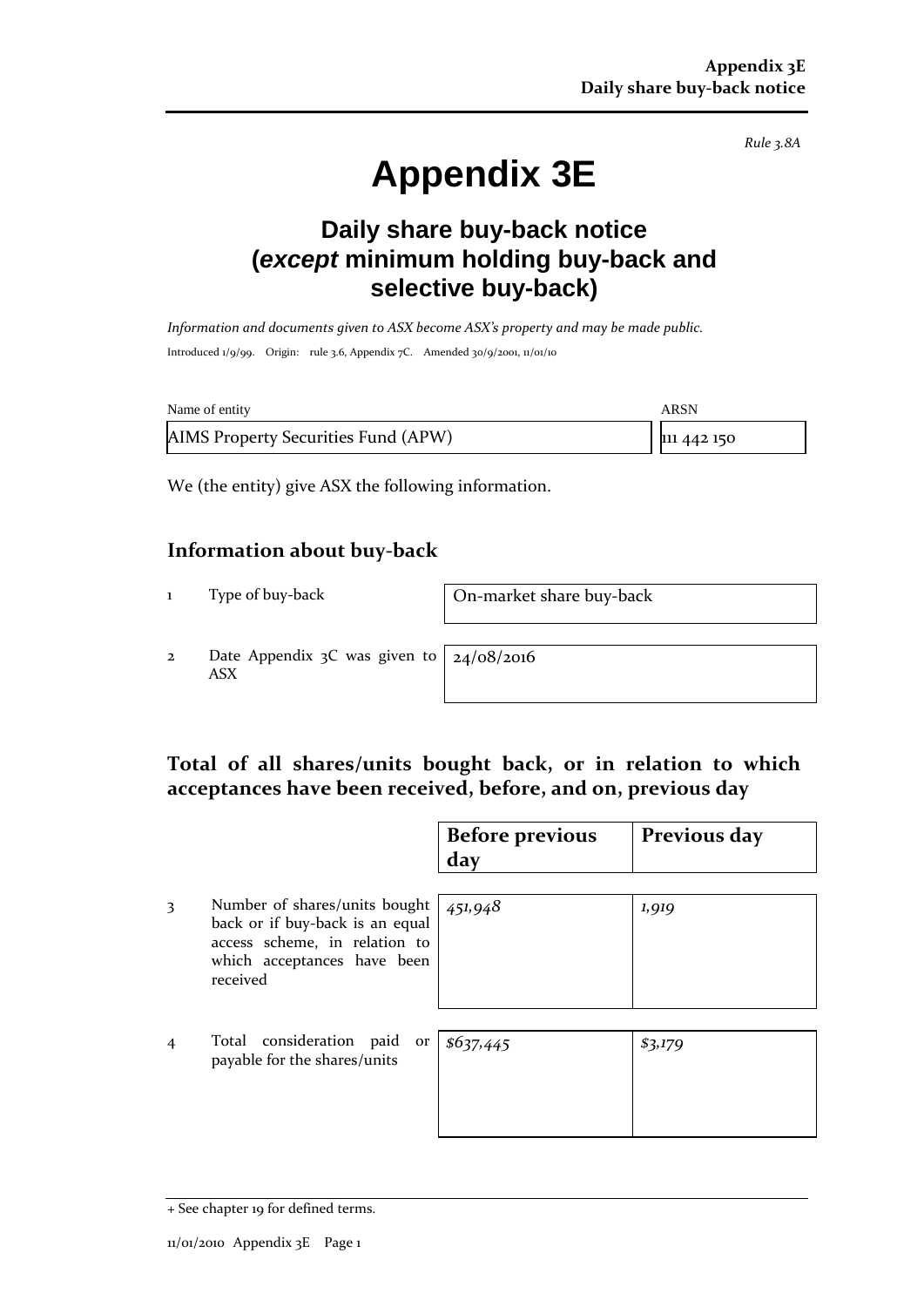*Rule 3.8A*

# **Appendix 3E**

# **Daily share buy-back notice (***except* **minimum holding buy-back and selective buy-back)**

*Information and documents given to ASX become ASX's property and may be made public.* Introduced 1/9/99. Origin: rule 3.6, Appendix 7C. Amended 30/9/2001, 11/01/10

| Name of entity                      | ARSN        |
|-------------------------------------|-------------|
| AIMS Property Securities Fund (APW) | 111 442 150 |

We (the entity) give ASX the following information.

#### **Information about buy-back**

1 Type of buy-back On-market share buy-back

2 Date Appendix 3C was given to ASX

24/08/2016

## **Total of all shares/units bought back, or in relation to which acceptances have been received, before, and on, previous day**

|                |                                                                                                                                              | <b>Before previous</b><br>day | Previous day |
|----------------|----------------------------------------------------------------------------------------------------------------------------------------------|-------------------------------|--------------|
| 3              | Number of shares/units bought<br>back or if buy-back is an equal<br>access scheme, in relation to<br>which acceptances have been<br>received | 451,948                       | 1,919        |
| $\overline{4}$ | Total consideration paid<br>or  <br>payable for the shares/units                                                                             | \$637,445                     | \$3,179      |

<sup>+</sup> See chapter 19 for defined terms.